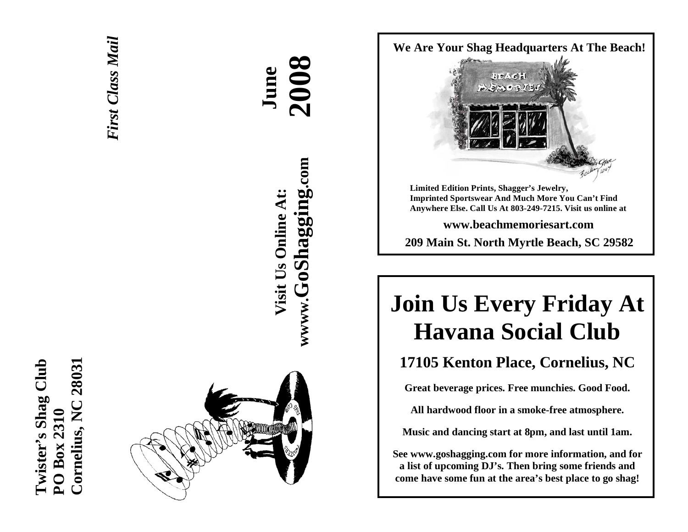



# **AA June 2008 wwww.GoShagging.com** www.GoShagging.com **Visit Us Online At:** Visit Us Online At:





**Limited Edition Prints, Shagger's Jewelry, Imprinted Sportswear And Much More You Can't Find Anywhere Else. Call Us At 803-249-7215. Visit us online at** 

**www.beachmemoriesart.com** 

**209 Main St. North Myrtle Beach, SC 29582**

# **Join Us Every Friday At Havana Social Club**

# **17105 Kenton Place, Cornelius, NC**

**Great beverage prices. Free munchies. Good Food.** 

**All hardwood floor in a smoke-free atmosphere.** 

**Music and dancing start at 8pm, and last until 1am.** 

**See www.goshagging.com for more information, and for a list of upcoming DJ's. Then bring some friends and come have some fun at the area's best place to go shag!**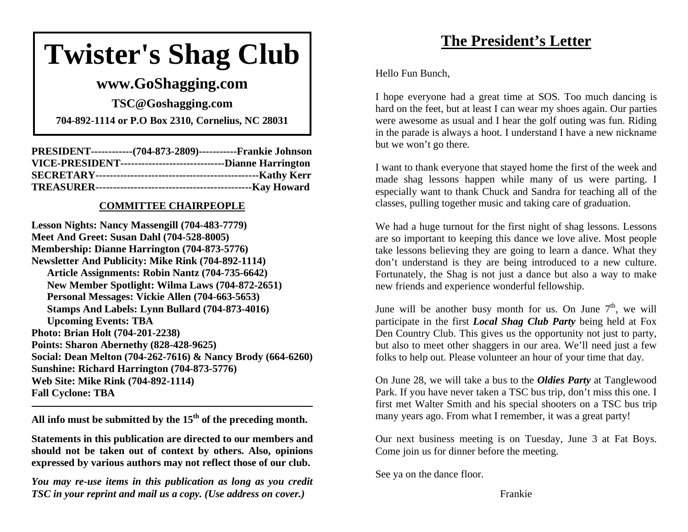# **Twister's Shag Club**

# **www.GoShagging.com**

**TSC@Goshagging.com** 

**704-892-1114 or P.O Box 2310, Cornelius, NC 28031** 

| PRESIDENT-------------(704-873-2809)------------Frankie Johnson   |  |
|-------------------------------------------------------------------|--|
| VICE-PRESIDENT----------------------------------Dianne Harrington |  |
|                                                                   |  |
|                                                                   |  |

#### **COMMITTEE CHAIRPEOPLE**

**Lesson Nights: Nancy Massengill (704-483-7779) Meet And Greet: Susan Dahl (704-528-8005) Membership: Dianne Harrington (704-873-5776) Newsletter And Publicity: Mike Rink (704-892-1114) Article Assignments: Robin Nantz (704-735-6642) New Member Spotlight: Wilma Laws (704-872-2651) Personal Messages: Vickie Allen (704-663-5653) Stamps And Labels: Lynn Bullard (704-873-4016) Upcoming Events: TBA Photo: Brian Holt (704-201-2238) Points: Sharon Abernethy (828-428-9625) Social: Dean Melton (704-262-7616) & Nancy Brody (664-6260) Sunshine: Richard Harrington (704-873-5776) Web Site: Mike Rink (704-892-1114) Fall Cyclone: TBA** 

**All info must be submitted by the 15th of the preceding month.** 

**Statements in this publication are directed to our members and should not be taken out of context by others. Also, opinions expressed by various authors may not reflect those of our club.** 

*You may re-use items in this publication as long as you credit TSC in your reprint and mail us a copy. (Use address on cover.)* 

# **The President's Letter**

Hello Fun Bunch,

I hope everyone had a great time at SOS. Too much dancing is hard on the feet, but at least I can wear my shoes again. Our parties were awesome as usual and I hear the golf outing was fun. Riding in the parade is always a hoot. I understand I have a new nickname but we won't go there.

I want to thank everyone that stayed home the first of the week and made shag lessons happen while many of us were parting. I especially want to thank Chuck and Sandra for teaching all of the classes, pulling together music and taking care of graduation.

We had a huge turnout for the first night of shag lessons. Lessons are so important to keeping this dance we love alive. Most people take lessons believing they are going to learn a dance. What they don't understand is they are being introduced to a new culture. Fortunately, the Shag is not just a dance but also a way to make new friends and experience wonderful fellowship.

June will be another busy month for us. On June  $7<sup>th</sup>$ , we will participate in the first *Local Shag Club Party* being held at Fox Den Country Club. This gives us the opportunity not just to party, but also to meet other shaggers in our area. We'll need just a few folks to help out. Please volunteer an hour of your time that day.

On June 28, we will take a bus to the *Oldies Party* at Tanglewood Park. If you have never taken a TSC bus trip, don't miss this one. I first met Walter Smith and his special shooters on a TSC bus trip many years ago. From what I remember, it was a great party!

Our next business meeting is on Tuesday, June 3 at Fat Boys. Come join us for dinner before the meeting.

See ya on the dance floor.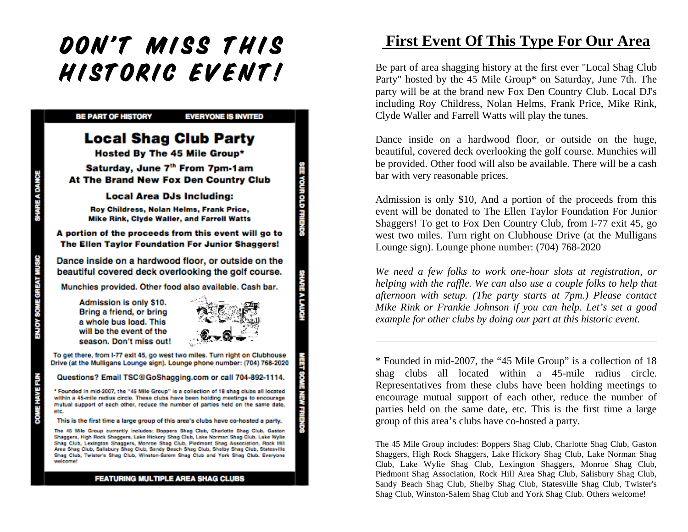# DON'T MISS THIS HISTORIC EVENT!



# **First Event Of This Type For Our Area**

Be part of area shagging history at the first ever "Local Shag Club Party" hosted by the 45 Mile Group\* on Saturday, June 7th. The party will be at the brand new Fox Den Country Club. Local DJ's including Roy Childress, Nolan Helms, Frank Price, Mike Rink, Clyde Waller and Farrell Watts will play the tunes.

Dance inside on a hardwood floor, or outside on the huge, beautiful, covered deck overlooking the golf course. Munchies will be provided. Other food will also be available. There will be a cash bar with very reasonable prices.

Admission is only \$10, And a portion of the proceeds from this event will be donated to The Ellen Taylor Foundation For Junior Shaggers! To get to Fox Den Country Club, from I-77 exit 45, go west two miles. Turn right on Clubhouse Drive (at the Mulligans Lounge sign). Lounge phone number: (704) 768-2020

*We need a few folks to work one-hour slots at registration, or helping with the raffle. We can also use a couple folks to help that afternoon with setup. (The party starts at 7pm.) Please contact Mike Rink or Frankie Johnson if you can help. Let's set a good example for other clubs by doing our part at this historic event.* 

\* Founded in mid-2007, the "45 Mile Group" is a collection of 18 shag clubs all located within a 45-mile radius circle. Representatives from these clubs have been holding meetings to encourage mutual support of each other, reduce the number of parties held on the same date, etc. This is the first time a large group of this area's clubs have co-hosted a party.

The 45 Mile Group includes: Boppers Shag Club, Charlotte Shag Club, Gaston Shaggers, High Rock Shaggers, Lake Hickory Shag Club, Lake Norman Shag Club, Lake Wylie Shag Club, Lexington Shaggers, Monroe Shag Club, Piedmont Shag Association, Rock Hill Area Shag Club, Salisbury Shag Club, Sandy Beach Shag Club, Shelby Shag Club, Statesville Shag Club, Twister's Shag Club, Winston-Salem Shag Club and York Shag Club. Others welcome!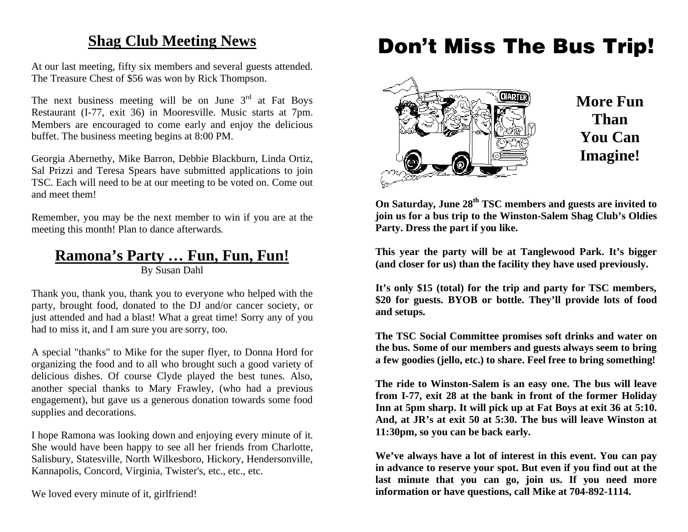# **Shag Club Meeting News**

At our last meeting, fifty six members and several guests attended. The Treasure Chest of \$56 was won by Rick Thompson.

The next business meeting will be on June  $3<sup>rd</sup>$  at Fat Boys Restaurant (I-77, exit 36) in Mooresville. Music starts at 7pm. Members are encouraged to come early and enjoy the delicious buffet. The business meeting begins at 8:00 PM.

Georgia Abernethy, Mike Barron, Debbie Blackburn, Linda Ortiz, Sal Prizzi and Teresa Spears have submitted applications to join TSC. Each will need to be at our meeting to be voted on. Come out and meet them!

Remember, you may be the next member to win if you are at the meeting this month! Plan to dance afterwards.

# **Ramona's Party … Fun, Fun, Fun!**

By Susan Dahl

Thank you, thank you, thank you to everyone who helped with the party, brought food, donated to the DJ and/or cancer society, or just attended and had a blast! What a great time! Sorry any of you had to miss it, and I am sure you are sorry, too.

A special "thanks" to Mike for the super flyer, to Donna Hord for organizing the food and to all who brought such a good variety of delicious dishes. Of course Clyde played the best tunes. Also, another special thanks to Mary Frawley, (who had a previous engagement), but gave us a generous donation towards some food supplies and decorations.

I hope Ramona was looking down and enjoying every minute of it. She would have been happy to see all her friends from Charlotte, Salisbury, Statesville, North Wilkesboro, Hickory, Hendersonville, Kannapolis, Concord, Virginia, Twister's, etc., etc., etc.

We loved every minute of it, girlfriend!

# **Don't Miss The Bus Trip!**



**On Saturday, June 28th TSC members and guests are invited to join us for a bus trip to the Winston-Salem Shag Club's Oldies Party. Dress the part if you like.** 

**This year the party will be at Tanglewood Park. It's bigger (and closer for us) than the facility they have used previously.** 

**It's only \$15 (total) for the trip and party for TSC members, \$20 for guests. BYOB or bottle. They'll provide lots of food and setups.** 

**The TSC Social Committee promises soft drinks and water on the bus. Some of our members and guests always seem to bring a few goodies (jello, etc.) to share. Feel free to bring something!** 

**The ride to Winston-Salem is an easy one. The bus will leave from I-77, exit 28 at the bank in front of the former Holiday Inn at 5pm sharp. It will pick up at Fat Boys at exit 36 at 5:10. And, at JR's at exit 50 at 5:30. The bus will leave Winston at 11:30pm, so you can be back early.** 

**We've always have a lot of interest in this event. You can pay in advance to reserve your spot. But even if you find out at the last minute that you can go, join us. If you need more information or have questions, call Mike at 704-892-1114.**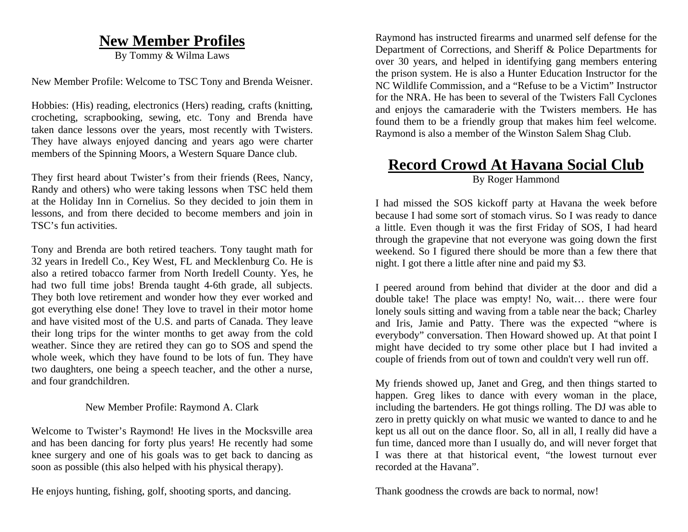# **New Member Profiles**

By Tommy & Wilma Laws

New Member Profile: Welcome to TSC Tony and Brenda Weisner.

Hobbies: (His) reading, electronics (Hers) reading, crafts (knitting, crocheting, scrapbooking, sewing, etc. Tony and Brenda have taken dance lessons over the years, most recently with Twisters. They have always enjoyed dancing and years ago were charter members of the Spinning Moors, a Western Square Dance club.

They first heard about Twister's from their friends (Rees, Nancy, Randy and others) who were taking lessons when TSC held them at the Holiday Inn in Cornelius. So they decided to join them in lessons, and from there decided to become members and join in TSC's fun activities.

Tony and Brenda are both retired teachers. Tony taught math for 32 years in Iredell Co., Key West, FL and Mecklenburg Co. He is also a retired tobacco farmer from North Iredell County. Yes, he had two full time jobs! Brenda taught 4-6th grade, all subjects. They both love retirement and wonder how they ever worked and got everything else done! They love to travel in their motor home and have visited most of the U.S. and parts of Canada. They leave their long trips for the winter months to get away from the cold weather. Since they are retired they can go to SOS and spend the whole week, which they have found to be lots of fun. They have two daughters, one being a speech teacher, and the other a nurse, and four grandchildren.

#### New Member Profile: Raymond A. Clark

Welcome to Twister's Raymond! He lives in the Mocksville area and has been dancing for forty plus years! He recently had some knee surgery and one of his goals was to get back to dancing as soon as possible (this also helped with his physical therapy).

He enjoys hunting, fishing, golf, shooting sports, and dancing.

Raymond has instructed firearms and unarmed self defense for the Department of Corrections, and Sheriff & Police Departments for over 30 years, and helped in identifying gang members entering the prison system. He is also a Hunter Education Instructor for the NC Wildlife Commission, and a "Refuse to be a Victim" Instructor for the NRA. He has been to several of the Twisters Fall Cyclones and enjoys the camaraderie with the Twisters members. He has found them to be a friendly group that makes him feel welcome. Raymond is also a member of the Winston Salem Shag Club.

#### **Record Crowd At Havana Social Club** By Roger Hammond

I had missed the SOS kickoff party at Havana the week before because I had some sort of stomach virus. So I was ready to dance a little. Even though it was the first Friday of SOS, I had heard through the grapevine that not everyone was going down the first weekend. So I figured there should be more than a few there that night. I got there a little after nine and paid my \$3.

I peered around from behind that divider at the door and did a double take! The place was empty! No, wait… there were four lonely souls sitting and waving from a table near the back; Charley and Iris, Jamie and Patty. There was the expected "where is everybody" conversation. Then Howard showed up. At that point I might have decided to try some other place but I had invited a couple of friends from out of town and couldn't very well run off.

My friends showed up, Janet and Greg, and then things started to happen. Greg likes to dance with every woman in the place, including the bartenders. He got things rolling. The DJ was able to zero in pretty quickly on what music we wanted to dance to and he kept us all out on the dance floor. So, all in all, I really did have a fun time, danced more than I usually do, and will never forget that I was there at that historical event, "the lowest turnout ever recorded at the Havana".

Thank goodness the crowds are back to normal, now!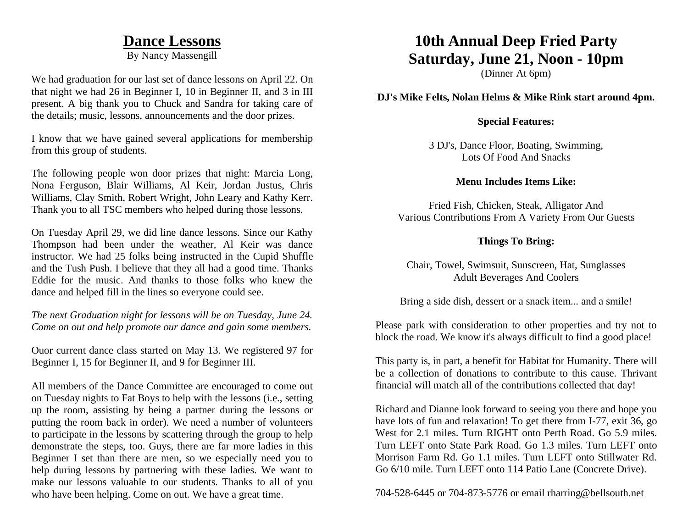#### **Dance Lessons**

By Nancy Massengill

We had graduation for our last set of dance lessons on April 22. On that night we had 26 in Beginner I, 10 in Beginner II, and 3 in III present. A big thank you to Chuck and Sandra for taking care of the details; music, lessons, announcements and the door prizes.

I know that we have gained several applications for membership from this group of students.

The following people won door prizes that night: Marcia Long, Nona Ferguson, Blair Williams, Al Keir, Jordan Justus, Chris Williams, Clay Smith, Robert Wright, John Leary and Kathy Kerr. Thank you to all TSC members who helped during those lessons.

On Tuesday April 29, we did line dance lessons. Since our Kathy Thompson had been under the weather, Al Keir was dance instructor. We had 25 folks being instructed in the Cupid Shuffle and the Tush Push. I believe that they all had a good time. Thanks Eddie for the music. And thanks to those folks who knew the dance and helped fill in the lines so everyone could see.

*The next Graduation night for lessons will be on Tuesday, June 24. Come on out and help promote our dance and gain some members.*

Ouor current dance class started on May 13. We registered 97 for Beginner I, 15 for Beginner II, and 9 for Beginner III.

All members of the Dance Committee are encouraged to come out on Tuesday nights to Fat Boys to help with the lessons (i.e., setting up the room, assisting by being a partner during the lessons or putting the room back in order). We need a number of volunteers to participate in the lessons by scattering through the group to help demonstrate the steps, too. Guys, there are far more ladies in this Beginner I set than there are men, so we especially need you to help during lessons by partnering with these ladies. We want to make our lessons valuable to our students. Thanks to all of you who have been helping. Come on out. We have a great time.

# **10th Annual Deep Fried Party Saturday, June 21, Noon - 10pm**

(Dinner At 6pm)

**DJ's Mike Felts, Nolan Helms & Mike Rink start around 4pm.** 

#### **Special Features:**

3 DJ's, Dance Floor, Boating, Swimming, Lots Of Food And Snacks

#### **Menu Includes Items Like:**

Fried Fish, Chicken, Steak, Alligator And Various Contributions From A Variety From Our Guests

#### **Things To Bring:**

Chair, Towel, Swimsuit, Sunscreen, Hat, Sunglasses Adult Beverages And Coolers

Bring a side dish, dessert or a snack item... and a smile!

Please park with consideration to other properties and try not to block the road. We know it's always difficult to find a good place!

This party is, in part, a benefit for Habitat for Humanity. There will be a collection of donations to contribute to this cause. Thrivant financial will match all of the contributions collected that day!

Richard and Dianne look forward to seeing you there and hope you have lots of fun and relaxation! To get there from I-77, exit 36, go West for 2.1 miles. Turn RIGHT onto Perth Road. Go 5.9 miles. Turn LEFT onto State Park Road. Go 1.3 miles. Turn LEFT onto Morrison Farm Rd. Go 1.1 miles. Turn LEFT onto Stillwater Rd. Go 6/10 mile. Turn LEFT onto 114 Patio Lane (Concrete Drive).

704-528-6445 or 704-873-5776 or email rharring@bellsouth.net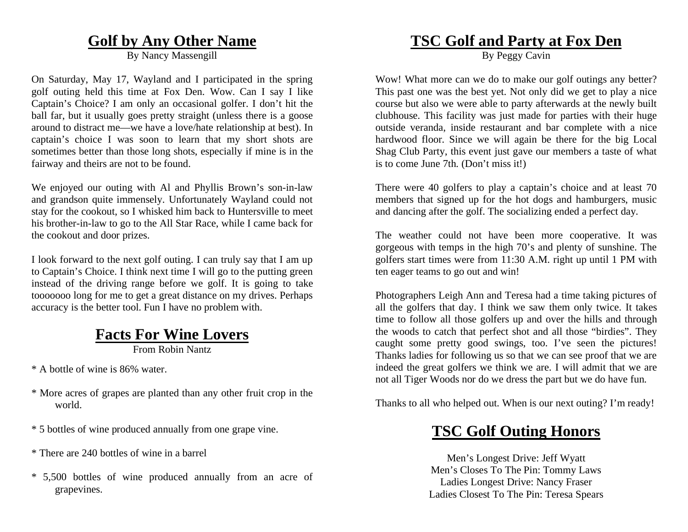#### **Golf by Any Other Name**

By Nancy Massengill

On Saturday, May 17, Wayland and I participated in the spring golf outing held this time at Fox Den. Wow. Can I say I like Captain's Choice? I am only an occasional golfer. I don't hit the ball far, but it usually goes pretty straight (unless there is a goose around to distract me—we have a love/hate relationship at best). In captain's choice I was soon to learn that my short shots are sometimes better than those long shots, especially if mine is in the fairway and theirs are not to be found.

We enjoyed our outing with Al and Phyllis Brown's son-in-law and grandson quite immensely. Unfortunately Wayland could not stay for the cookout, so I whisked him back to Huntersville to meet his brother-in-law to go to the All Star Race, while I came back for the cookout and door prizes.

I look forward to the next golf outing. I can truly say that I am up to Captain's Choice. I think next time I will go to the putting green instead of the driving range before we golf. It is going to take tooooooo long for me to get a great distance on my drives. Perhaps accuracy is the better tool. Fun I have no problem with.

# **Facts For Wine Lovers**

From Robin Nantz

\* A bottle of wine is 86% water.

- \* More acres of grapes are planted than any other fruit crop in the world.
- \* 5 bottles of wine produced annually from one grape vine.
- \* There are 240 bottles of wine in a barrel
- \* 5,500 bottles of wine produced annually from an acre of grapevines.

# **TSC Golf and Party at Fox Den**

By Peggy Cavin

Wow! What more can we do to make our golf outings any better? This past one was the best yet. Not only did we get to play a nice course but also we were able to party afterwards at the newly built clubhouse. This facility was just made for parties with their huge outside veranda, inside restaurant and bar complete with a nice hardwood floor. Since we will again be there for the big Local Shag Club Party, this event just gave our members a taste of what is to come June 7th. (Don't miss it!)

There were 40 golfers to play a captain's choice and at least 70 members that signed up for the hot dogs and hamburgers, music and dancing after the golf. The socializing ended a perfect day.

The weather could not have been more cooperative. It was gorgeous with temps in the high 70's and plenty of sunshine. The golfers start times were from 11:30 A.M. right up until 1 PM with ten eager teams to go out and win!

Photographers Leigh Ann and Teresa had a time taking pictures of all the golfers that day. I think we saw them only twice. It takes time to follow all those golfers up and over the hills and through the woods to catch that perfect shot and all those "birdies". They caught some pretty good swings, too. I've seen the pictures! Thanks ladies for following us so that we can see proof that we are indeed the great golfers we think we are. I will admit that we are not all Tiger Woods nor do we dress the part but we do have fun.

Thanks to all who helped out. When is our next outing? I'm ready!

# **TSC Golf Outing Honors**

Men's Longest Drive: Jeff Wyatt Men's Closes To The Pin: Tommy Laws Ladies Longest Drive: Nancy Fraser Ladies Closest To The Pin: Teresa Spears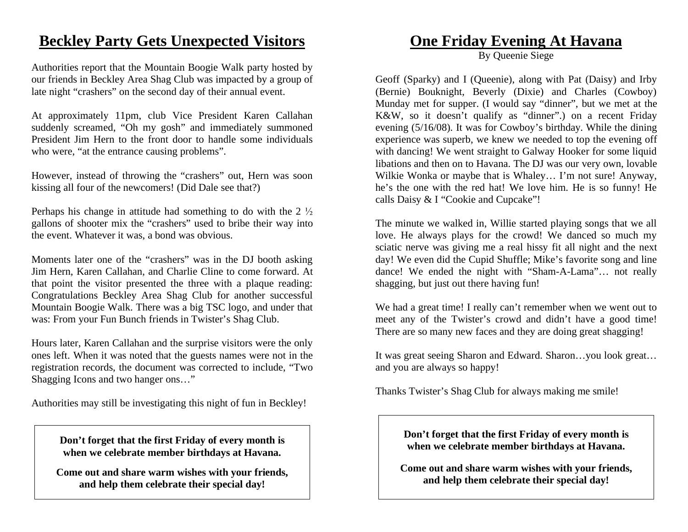# **Beckley Party Gets Unexpected Visitors**

Authorities report that the Mountain Boogie Walk party hosted by our friends in Beckley Area Shag Club was impacted by a group of late night "crashers" on the second day of their annual event.

At approximately 11pm, club Vice President Karen Callahan suddenly screamed, "Oh my gosh" and immediately summoned President Jim Hern to the front door to handle some individuals who were, "at the entrance causing problems".

However, instead of throwing the "crashers" out, Hern was soon kissing all four of the newcomers! (Did Dale see that?)

Perhaps his change in attitude had something to do with the  $2\frac{1}{2}$ gallons of shooter mix the "crashers" used to bribe their way into the event. Whatever it was, a bond was obvious.

Moments later one of the "crashers" was in the DJ booth asking Jim Hern, Karen Callahan, and Charlie Cline to come forward. At that point the visitor presented the three with a plaque reading: Congratulations Beckley Area Shag Club for another successful Mountain Boogie Walk. There was a big TSC logo, and under that was: From your Fun Bunch friends in Twister's Shag Club.

Hours later, Karen Callahan and the surprise visitors were the only ones left. When it was noted that the guests names were not in the registration records, the document was corrected to include, "Two Shagging Icons and two hanger ons…"

Authorities may still be investigating this night of fun in Beckley!

**Don't forget that the first Friday of every month is when we celebrate member birthdays at Havana.** 

**Come out and share warm wishes with your friends, and help them celebrate their special day!** 

#### **One Friday Evening At Havana**

By Queenie Siege

Geoff (Sparky) and I (Queenie), along with Pat (Daisy) and Irby (Bernie) Bouknight, Beverly (Dixie) and Charles (Cowboy) Munday met for supper. (I would say "dinner", but we met at the K&W, so it doesn't qualify as "dinner".) on a recent Friday evening (5/16/08). It was for Cowboy's birthday. While the dining experience was superb, we knew we needed to top the evening off with dancing! We went straight to Galway Hooker for some liquid libations and then on to Havana. The DJ was our very own, lovable Wilkie Wonka or maybe that is Whaley… I'm not sure! Anyway, he's the one with the red hat! We love him. He is so funny! He calls Daisy & I "Cookie and Cupcake"!

The minute we walked in, Willie started playing songs that we all love. He always plays for the crowd! We danced so much my sciatic nerve was giving me a real hissy fit all night and the next day! We even did the Cupid Shuffle; Mike's favorite song and line dance! We ended the night with "Sham-A-Lama"… not really shagging, but just out there having fun!

We had a great time! I really can't remember when we went out to meet any of the Twister's crowd and didn't have a good time! There are so many new faces and they are doing great shagging!

It was great seeing Sharon and Edward. Sharon…you look great… and you are always so happy!

Thanks Twister's Shag Club for always making me smile!

**Don't forget that the first Friday of every month is when we celebrate member birthdays at Havana.** 

**Come out and share warm wishes with your friends, and help them celebrate their special day!**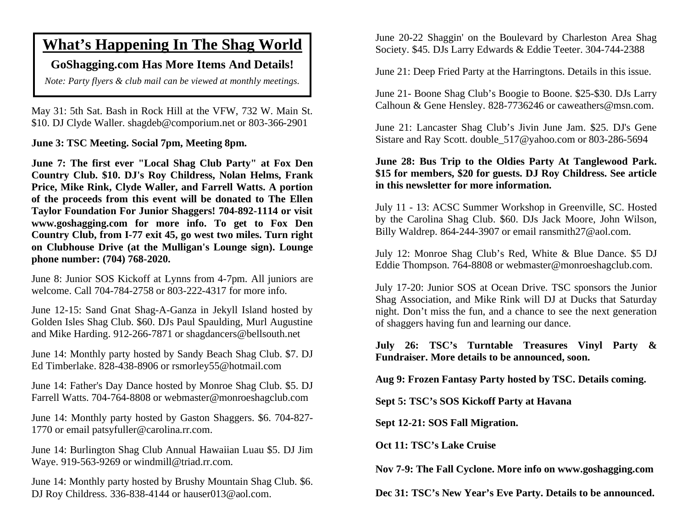# **What's Happening In The Shag World**

#### **GoShagging.com Has More Items And Details!**

*Note: Party flyers & club mail can be viewed at monthly meetings.* 

May 31: 5th Sat. Bash in Rock Hill at the VFW, 732 W. Main St. \$10. DJ Clyde Waller. shagdeb@comporium.net or 803-366-2901

**June 3: TSC Meeting. Social 7pm, Meeting 8pm.** 

**June 7: The first ever "Local Shag Club Party" at Fox Den Country Club. \$10. DJ's Roy Childress, Nolan Helms, Frank Price, Mike Rink, Clyde Waller, and Farrell Watts. A portion of the proceeds from this event will be donated to The Ellen Taylor Foundation For Junior Shaggers! 704-892-1114 or visit www.goshagging.com for more info. To get to Fox Den Country Club, from I-77 exit 45, go west two miles. Turn right on Clubhouse Drive (at the Mulligan's Lounge sign). Lounge phone number: (704) 768-2020.** 

June 8: Junior SOS Kickoff at Lynns from 4-7pm. All juniors are welcome. Call 704-784-2758 or 803-222-4317 for more info.

June 12-15: Sand Gnat Shag-A-Ganza in Jekyll Island hosted by Golden Isles Shag Club. \$60. DJs Paul Spaulding, Murl Augustine and Mike Harding. 912-266-7871 or shagdancers@bellsouth.net

June 14: Monthly party hosted by Sandy Beach Shag Club. \$7. DJ Ed Timberlake. 828-438-8906 or rsmorley55@hotmail.com

June 14: Father's Day Dance hosted by Monroe Shag Club. \$5. DJ Farrell Watts. 704-764-8808 or webmaster@monroeshagclub.com

June 14: Monthly party hosted by Gaston Shaggers. \$6. 704-827- 1770 or email patsyfuller@carolina.rr.com.

June 14: Burlington Shag Club Annual Hawaiian Luau \$5. DJ Jim Waye. 919-563-9269 or windmill@triad.rr.com.

June 14: Monthly party hosted by Brushy Mountain Shag Club. \$6. DJ Roy Childress. 336-838-4144 or hauser013@aol.com.

June 20-22 Shaggin' on the Boulevard by Charleston Area Shag Society. \$45. DJs Larry Edwards & Eddie Teeter. 304-744-2388

June 21: Deep Fried Party at the Harringtons. Details in this issue.

June 21- Boone Shag Club's Boogie to Boone. \$25-\$30. DJs Larry Calhoun & Gene Hensley. 828-7736246 or caweathers@msn.com.

June 21: Lancaster Shag Club's Jivin June Jam. \$25. DJ's Gene Sistare and Ray Scott. double\_517@yahoo.com or 803-286-5694

#### **June 28: Bus Trip to the Oldies Party At Tanglewood Park. \$15 for members, \$20 for guests. DJ Roy Childress. See article in this newsletter for more information.**

July 11 - 13: ACSC Summer Workshop in Greenville, SC. Hosted by the Carolina Shag Club. \$60. DJs Jack Moore, John Wilson, Billy Waldrep. 864-244-3907 or email ransmith27@aol.com.

July 12: Monroe Shag Club's Red, White & Blue Dance. \$5 DJ Eddie Thompson. 764-8808 or webmaster@monroeshagclub.com.

July 17-20: Junior SOS at Ocean Drive. TSC sponsors the Junior Shag Association, and Mike Rink will DJ at Ducks that Saturday night. Don't miss the fun, and a chance to see the next generation of shaggers having fun and learning our dance.

**July 26: TSC's Turntable Treasures Vinyl Party & Fundraiser. More details to be announced, soon.** 

**Aug 9: Frozen Fantasy Party hosted by TSC. Details coming.** 

**Sept 5: TSC's SOS Kickoff Party at Havana** 

**Sept 12-21: SOS Fall Migration.** 

**Oct 11: TSC's Lake Cruise** 

**Nov 7-9: The Fall Cyclone. More info on www.goshagging.com** 

**Dec 31: TSC's New Year's Eve Party. Details to be announced.**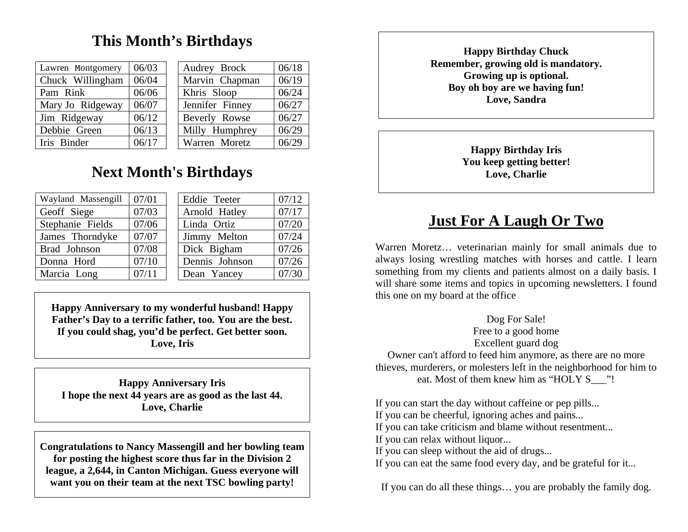# **This Month's Birthdays**

| Lawren Montgomery | 06/03 |  | Audrey Brock    | 06/18 |
|-------------------|-------|--|-----------------|-------|
| Chuck Willingham  | 06/04 |  | Marvin Chapman  | 06/19 |
| Pam Rink          | 06/06 |  | Khris Sloop     | 06/24 |
| Mary Jo Ridgeway  | 06/07 |  | Jennifer Finney | 06/27 |
| Jim Ridgeway      | 06/12 |  | Beverly Rowse   | 06/27 |
| Debbie Green      | 06/13 |  | Milly Humphrey  | 06/29 |
| Iris Binder       | 06/17 |  | Warren Moretz   | 06/29 |

# **Next Month's Birthdays**

| Wayland Massengill | 07/01 |  | Eddie Teeter   | 07/12 |
|--------------------|-------|--|----------------|-------|
| Geoff Siege        | 07/03 |  | Arnold Hatley  | 07/17 |
| Stephanie Fields   | 07/06 |  | Linda Ortiz    | 07/20 |
| James Thorndyke    | 07/07 |  | Jimmy Melton   | 07/24 |
| Brad Johnson       | 07/08 |  | Dick Bigham    | 07/26 |
| Donna Hord         | 07/10 |  | Dennis Johnson | 07/26 |
| Marcia Long        | 07/11 |  | Dean Yancey    | 07/30 |

**Happy Anniversary to my wonderful husband! Happy Father's Day to a terrific father, too. You are the best. If you could shag, you'd be perfect. Get better soon. Love, Iris** 

**Happy Anniversary Iris I hope the next 44 years are as good as the last 44. Love, Charlie** 

**Congratulations to Nancy Massengill and her bowling team for posting the highest score thus far in the Division 2 league, a 2,644, in Canton Michigan. Guess everyone will want you on their team at the next TSC bowling party!** 

**Happy Birthday Chuck Remember, growing old is mandatory. Growing up is optional. Boy oh boy are we having fun! Love, Sandra** 

> **Happy Birthday Iris You keep getting better! Love, Charlie**

# **Just For A Laugh Or Two**

Warren Moretz… veterinarian mainly for small animals due to always losing wrestling matches with horses and cattle. I learn something from my clients and patients almost on a daily basis. I will share some items and topics in upcoming newsletters. I found this one on my board at the office

Dog For Sale! Free to a good home Excellent guard dog Owner can't afford to feed him anymore, as there are no more thieves, murderers, or molesters left in the neighborhood for him to eat. Most of them knew him as "HOLY S\_\_\_"!

If you can start the day without caffeine or pep pills...

If you can be cheerful, ignoring aches and pains...

If you can take criticism and blame without resentment...

If you can relax without liquor...

If you can sleep without the aid of drugs...

If you can eat the same food every day, and be grateful for it...

If you can do all these things… you are probably the family dog.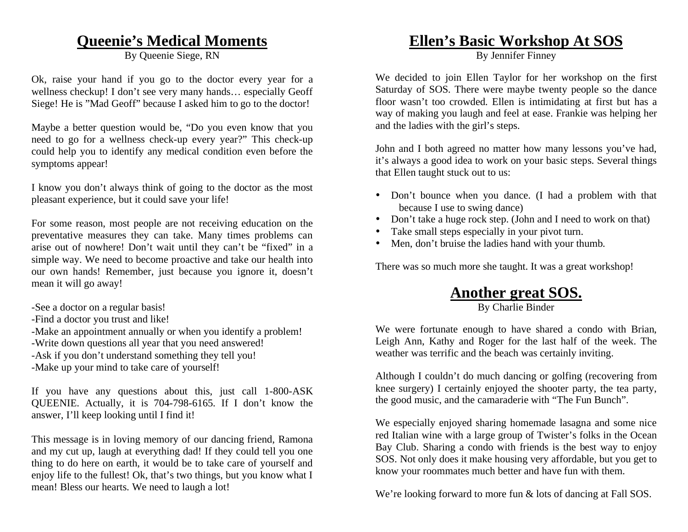### **Queenie's Medical Moments**

By Queenie Siege, RN

Ok, raise your hand if you go to the doctor every year for a wellness checkup! I don't see very many hands… especially Geoff Siege! He is "Mad Geoff" because I asked him to go to the doctor!

Maybe a better question would be, "Do you even know that you need to go for a wellness check-up every year?" This check-up could help you to identify any medical condition even before the symptoms appear!

I know you don't always think of going to the doctor as the most pleasant experience, but it could save your life!

For some reason, most people are not receiving education on the preventative measures they can take. Many times problems can arise out of nowhere! Don't wait until they can't be "fixed" in a simple way. We need to become proactive and take our health into our own hands! Remember, just because you ignore it, doesn't mean it will go away!

- -See a doctor on a regular basis!
- -Find a doctor you trust and like!
- -Make an appointment annually or when you identify a problem!
- -Write down questions all year that you need answered!
- -Ask if you don't understand something they tell you!
- -Make up your mind to take care of yourself!

If you have any questions about this, just call 1-800-ASK QUEENIE. Actually, it is 704-798-6165. If I don't know the answer, I'll keep looking until I find it!

This message is in loving memory of our dancing friend, Ramona and my cut up, laugh at everything dad! If they could tell you one thing to do here on earth, it would be to take care of yourself and enjoy life to the fullest! Ok, that's two things, but you know what I mean! Bless our hearts. We need to laugh a lot!

# **Ellen's Basic Workshop At SOS**

By Jennifer Finney

We decided to join Ellen Taylor for her workshop on the first Saturday of SOS. There were maybe twenty people so the dance floor wasn't too crowded. Ellen is intimidating at first but has a way of making you laugh and feel at ease. Frankie was helping her and the ladies with the girl's steps.

John and I both agreed no matter how many lessons you've had, it's always a good idea to work on your basic steps. Several things that Ellen taught stuck out to us:

- Don't bounce when you dance. (I had a problem with that because I use to swing dance)
- Don't take a huge rock step. (John and I need to work on that)
- Take small steps especially in your pivot turn.
- Men, don't bruise the ladies hand with your thumb.

There was so much more she taught. It was a great workshop!

# **Another great SOS.**

By Charlie Binder

We were fortunate enough to have shared a condo with Brian, Leigh Ann, Kathy and Roger for the last half of the week. The weather was terrific and the beach was certainly inviting.

Although I couldn't do much dancing or golfing (recovering from knee surgery) I certainly enjoyed the shooter party, the tea party, the good music, and the camaraderie with "The Fun Bunch".

We especially enjoyed sharing homemade lasagna and some nice red Italian wine with a large group of Twister's folks in the Ocean Bay Club. Sharing a condo with friends is the best way to enjoy SOS. Not only does it make housing very affordable, but you get to know your roommates much better and have fun with them.

We're looking forward to more fun & lots of dancing at Fall SOS.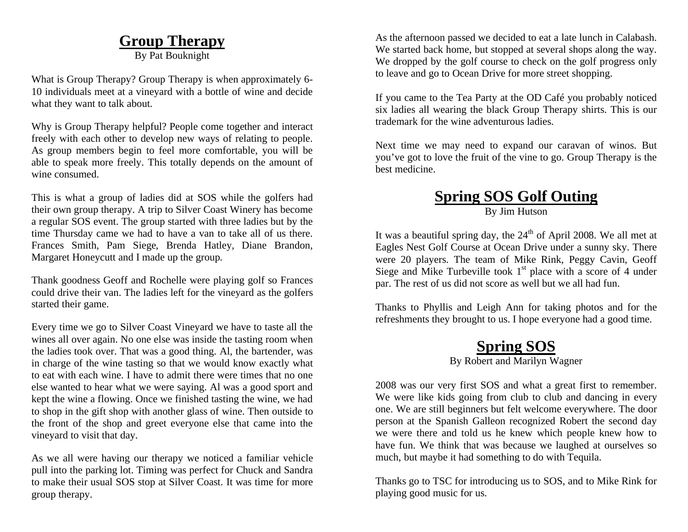# **Group Therapy**

By Pat Bouknight

What is Group Therapy? Group Therapy is when approximately 6- 10 individuals meet at a vineyard with a bottle of wine and decide what they want to talk about.

Why is Group Therapy helpful? People come together and interact freely with each other to develop new ways of relating to people. As group members begin to feel more comfortable, you will be able to speak more freely. This totally depends on the amount of wine consumed.

This is what a group of ladies did at SOS while the golfers had their own group therapy. A trip to Silver Coast Winery has become a regular SOS event. The group started with three ladies but by the time Thursday came we had to have a van to take all of us there. Frances Smith, Pam Siege, Brenda Hatley, Diane Brandon, Margaret Honeycutt and I made up the group.

Thank goodness Geoff and Rochelle were playing golf so Frances could drive their van. The ladies left for the vineyard as the golfers started their game.

Every time we go to Silver Coast Vineyard we have to taste all the wines all over again. No one else was inside the tasting room when the ladies took over. That was a good thing. Al, the bartender, was in charge of the wine tasting so that we would know exactly what to eat with each wine. I have to admit there were times that no one else wanted to hear what we were saying. Al was a good sport and kept the wine a flowing. Once we finished tasting the wine, we had to shop in the gift shop with another glass of wine. Then outside to the front of the shop and greet everyone else that came into the vineyard to visit that day.

As we all were having our therapy we noticed a familiar vehicle pull into the parking lot. Timing was perfect for Chuck and Sandra to make their usual SOS stop at Silver Coast. It was time for more group therapy.

As the afternoon passed we decided to eat a late lunch in Calabash. We started back home, but stopped at several shops along the way. We dropped by the golf course to check on the golf progress only to leave and go to Ocean Drive for more street shopping.

If you came to the Tea Party at the OD Café you probably noticed six ladies all wearing the black Group Therapy shirts. This is our trademark for the wine adventurous ladies.

Next time we may need to expand our caravan of winos. But you've got to love the fruit of the vine to go. Group Therapy is the best medicine.

# **Spring SOS Golf Outing**

By Jim Hutson

It was a beautiful spring day, the 24<sup>th</sup> of April 2008. We all met at Eagles Nest Golf Course at Ocean Drive under a sunny sky. There were 20 players. The team of Mike Rink, Peggy Cavin, Geoff Siege and Mike Turbeville took  $1<sup>st</sup>$  place with a score of 4 under par. The rest of us did not score as well but we all had fun.

Thanks to Phyllis and Leigh Ann for taking photos and for the refreshments they brought to us. I hope everyone had a good time.

#### **Spring SOS** By Robert and Marilyn Wagner

2008 was our very first SOS and what a great first to remember. We were like kids going from club to club and dancing in every one. We are still beginners but felt welcome everywhere. The door person at the Spanish Galleon recognized Robert the second day we were there and told us he knew which people knew how to have fun. We think that was because we laughed at ourselves so much, but maybe it had something to do with Tequila.

Thanks go to TSC for introducing us to SOS, and to Mike Rink for playing good music for us.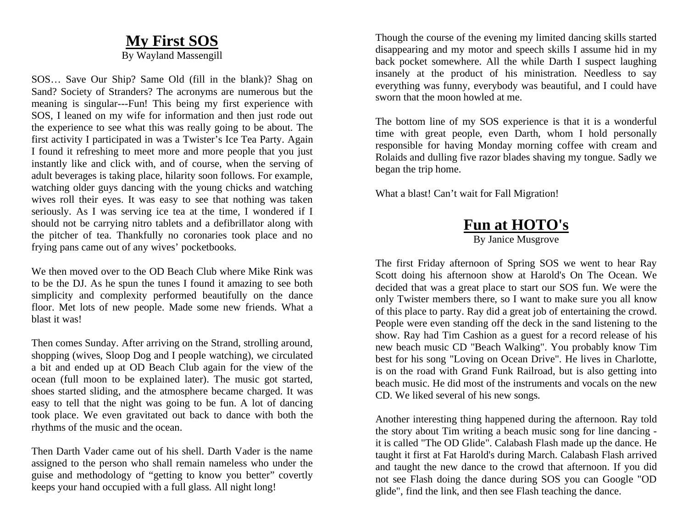#### **My First SOS**

By Wayland Massengill

SOS… Save Our Ship? Same Old (fill in the blank)? Shag on Sand? Society of Stranders? The acronyms are numerous but the meaning is singular---Fun! This being my first experience with SOS, I leaned on my wife for information and then just rode out the experience to see what this was really going to be about. The first activity I participated in was a Twister's Ice Tea Party. Again I found it refreshing to meet more and more people that you just instantly like and click with, and of course, when the serving of adult beverages is taking place, hilarity soon follows. For example, watching older guys dancing with the young chicks and watching wives roll their eyes. It was easy to see that nothing was taken seriously. As I was serving ice tea at the time, I wondered if I should not be carrying nitro tablets and a defibrillator along with the pitcher of tea. Thankfully no coronaries took place and no frying pans came out of any wives' pocketbooks.

We then moved over to the OD Beach Club where Mike Rink was to be the DJ. As he spun the tunes I found it amazing to see both simplicity and complexity performed beautifully on the dance floor. Met lots of new people. Made some new friends. What a blast it was!

Then comes Sunday. After arriving on the Strand, strolling around, shopping (wives, Sloop Dog and I people watching), we circulated a bit and ended up at OD Beach Club again for the view of the ocean (full moon to be explained later). The music got started, shoes started sliding, and the atmosphere became charged. It was easy to tell that the night was going to be fun. A lot of dancing took place. We even gravitated out back to dance with both the rhythms of the music and the ocean.

Then Darth Vader came out of his shell. Darth Vader is the name assigned to the person who shall remain nameless who under the guise and methodology of "getting to know you better" covertly keeps your hand occupied with a full glass. All night long!

Though the course of the evening my limited dancing skills started disappearing and my motor and speech skills I assume hid in my back pocket somewhere. All the while Darth I suspect laughing insanely at the product of his ministration. Needless to say everything was funny, everybody was beautiful, and I could have sworn that the moon howled at me.

The bottom line of my SOS experience is that it is a wonderful time with great people, even Darth, whom I hold personally responsible for having Monday morning coffee with cream and Rolaids and dulling five razor blades shaving my tongue. Sadly we began the trip home.

What a blast! Can't wait for Fall Migration!

#### **Fun at HOTO's** By Janice Musgrove

The first Friday afternoon of Spring SOS we went to hear Ray Scott doing his afternoon show at Harold's On The Ocean. We decided that was a great place to start our SOS fun. We were the only Twister members there, so I want to make sure you all know of this place to party. Ray did a great job of entertaining the crowd. People were even standing off the deck in the sand listening to the show. Ray had Tim Cashion as a guest for a record release of his new beach music CD "Beach Walking". You probably know Tim best for his song "Loving on Ocean Drive". He lives in Charlotte, is on the road with Grand Funk Railroad, but is also getting into beach music. He did most of the instruments and vocals on the new CD. We liked several of his new songs.

Another interesting thing happened during the afternoon. Ray told the story about Tim writing a beach music song for line dancing it is called "The OD Glide". Calabash Flash made up the dance. He taught it first at Fat Harold's during March. Calabash Flash arrived and taught the new dance to the crowd that afternoon. If you did not see Flash doing the dance during SOS you can Google "OD glide", find the link, and then see Flash teaching the dance.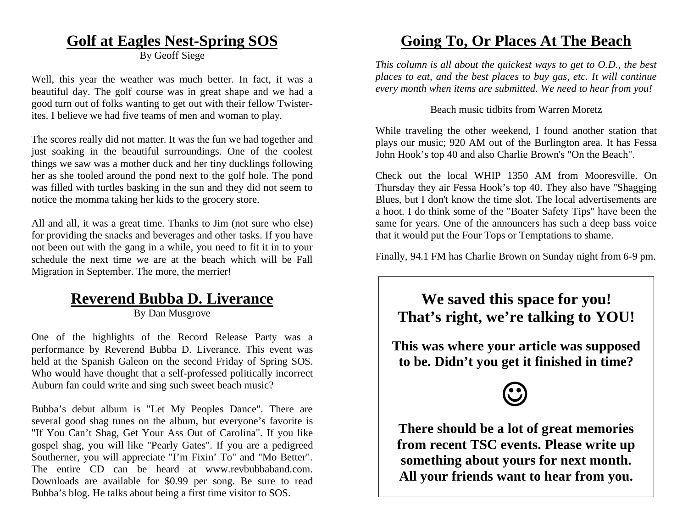# **Golf at Eagles Nest-Spring SOS**

By Geoff Siege

Well, this year the weather was much better. In fact, it was a beautiful day. The golf course was in great shape and we had a good turn out of folks wanting to get out with their fellow Twisterites. I believe we had five teams of men and woman to play.

The scores really did not matter. It was the fun we had together and just soaking in the beautiful surroundings. One of the coolest things we saw was a mother duck and her tiny ducklings following her as she tooled around the pond next to the golf hole. The pond was filled with turtles basking in the sun and they did not seem to notice the momma taking her kids to the grocery store.

All and all, it was a great time. Thanks to Jim (not sure who else) for providing the snacks and beverages and other tasks. If you have not been out with the gang in a while, you need to fit it in to your schedule the next time we are at the beach which will be Fall Migration in September. The more, the merrier!

# **Reverend Bubba D. Liverance**

By Dan Musgrove

One of the highlights of the Record Release Party was a performance by Reverend Bubba D. Liverance. This event was held at the Spanish Galeon on the second Friday of Spring SOS. Who would have thought that a self-professed politically incorrect Auburn fan could write and sing such sweet beach music?

Bubba's debut album is "Let My Peoples Dance". There are several good shag tunes on the album, but everyone's favorite is "If You Can't Shag, Get Your Ass Out of Carolina". If you like gospel shag, you will like "Pearly Gates". If you are a pedigreed Southerner, you will appreciate "I'm Fixin' To" and "Mo Better". The entire CD can be heard at www.revbubbaband.com. Downloads are available for \$0.99 per song. Be sure to read Bubba's blog. He talks about being a first time visitor to SOS.

# **Going To, Or Places At The Beach**

*This column is all about the quickest ways to get to O.D., the best places to eat, and the best places to buy gas, etc. It will continue every month when items are submitted. We need to hear from you!* 

#### Beach music tidbits from Warren Moretz

While traveling the other weekend, I found another station that plays our music; 920 AM out of the Burlington area. It has Fessa John Hook's top 40 and also Charlie Brown's "On the Beach".

Check out the local WHIP 1350 AM from Mooresville. On Thursday they air Fessa Hook's top 40. They also have "Shagging Blues, but I don't know the time slot. The local advertisements are a hoot. I do think some of the "Boater Safety Tips" have been the same for years. One of the announcers has such a deep bass voice that it would put the Four Tops or Temptations to shame.

Finally, 94.1 FM has Charlie Brown on Sunday night from 6-9 pm.

# **We saved this space for you! That's right, we're talking to YOU!**

**This was where your article was supposed to be. Didn't you get it finished in time?** 



**There should be a lot of great memories from recent TSC events. Please write up something about yours for next month. All your friends want to hear from you.**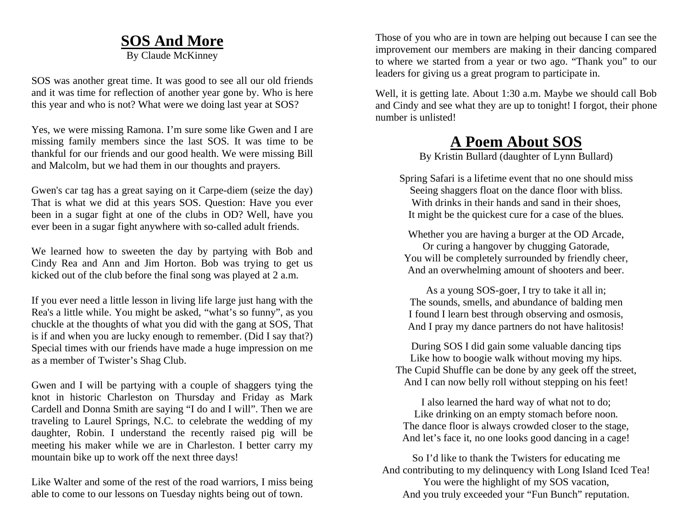### **SOS And More**

By Claude McKinney

SOS was another great time. It was good to see all our old friends and it was time for reflection of another year gone by. Who is here this year and who is not? What were we doing last year at SOS?

Yes, we were missing Ramona. I'm sure some like Gwen and I are missing family members since the last SOS. It was time to be thankful for our friends and our good health. We were missing Bill and Malcolm, but we had them in our thoughts and prayers.

Gwen's car tag has a great saying on it Carpe-diem (seize the day) That is what we did at this years SOS. Question: Have you ever been in a sugar fight at one of the clubs in OD? Well, have you ever been in a sugar fight anywhere with so-called adult friends.

We learned how to sweeten the day by partying with Bob and Cindy Rea and Ann and Jim Horton. Bob was trying to get us kicked out of the club before the final song was played at 2 a.m.

If you ever need a little lesson in living life large just hang with the Rea's a little while. You might be asked, "what's so funny", as you chuckle at the thoughts of what you did with the gang at SOS, That is if and when you are lucky enough to remember. (Did I say that?) Special times with our friends have made a huge impression on me as a member of Twister's Shag Club.

Gwen and I will be partying with a couple of shaggers tying the knot in historic Charleston on Thursday and Friday as Mark Cardell and Donna Smith are saying "I do and I will". Then we are traveling to Laurel Springs, N.C. to celebrate the wedding of my daughter, Robin. I understand the recently raised pig will be meeting his maker while we are in Charleston. I better carry my mountain bike up to work off the next three days!

Like Walter and some of the rest of the road warriors, I miss being able to come to our lessons on Tuesday nights being out of town.

Those of you who are in town are helping out because I can see the improvement our members are making in their dancing compared to where we started from a year or two ago. "Thank you" to our leaders for giving us a great program to participate in.

Well, it is getting late. About 1:30 a.m. Maybe we should call Bob and Cindy and see what they are up to tonight! I forgot, their phone number is unlisted!

# **A Poem About SOS**

By Kristin Bullard (daughter of Lynn Bullard)

Spring Safari is a lifetime event that no one should miss Seeing shaggers float on the dance floor with bliss. With drinks in their hands and sand in their shoes. It might be the quickest cure for a case of the blues.

Whether you are having a burger at the OD Arcade, Or curing a hangover by chugging Gatorade, You will be completely surrounded by friendly cheer, And an overwhelming amount of shooters and beer.

As a young SOS-goer, I try to take it all in; The sounds, smells, and abundance of balding men I found I learn best through observing and osmosis, And I pray my dance partners do not have halitosis!

During SOS I did gain some valuable dancing tips Like how to boogie walk without moving my hips. The Cupid Shuffle can be done by any geek off the street, And I can now belly roll without stepping on his feet!

I also learned the hard way of what not to do; Like drinking on an empty stomach before noon. The dance floor is always crowded closer to the stage, And let's face it, no one looks good dancing in a cage!

So I'd like to thank the Twisters for educating me And contributing to my delinquency with Long Island Iced Tea! You were the highlight of my SOS vacation, And you truly exceeded your "Fun Bunch" reputation.